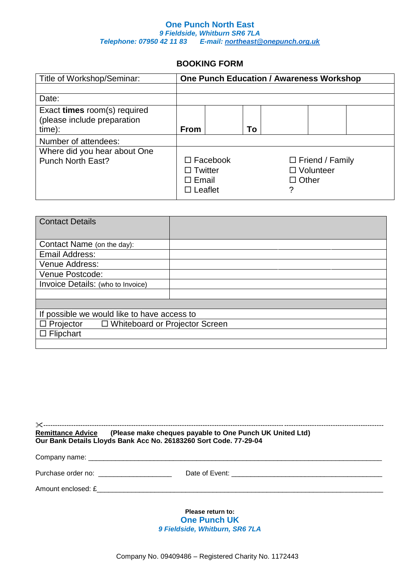## **One Punch North East** *9 Fieldside, Whitburn SR6 7LA Telephone: 07950 42 11 83 E-mail: [northeast@onepunch.org.uk](mailto:northeast@onepunch.org.uk?subject=Workshop%20Booking%20Form)*

## **BOOKING FORM**

| Title of Workshop/Seminar:                                              | <b>One Punch Education / Awareness Workshop</b>                     |  |    |                                                                 |  |  |
|-------------------------------------------------------------------------|---------------------------------------------------------------------|--|----|-----------------------------------------------------------------|--|--|
|                                                                         |                                                                     |  |    |                                                                 |  |  |
| Date:                                                                   |                                                                     |  |    |                                                                 |  |  |
| Exact times room(s) required<br>(please include preparation<br>$time$ : | <b>From</b>                                                         |  | То |                                                                 |  |  |
| Number of attendees:                                                    |                                                                     |  |    |                                                                 |  |  |
| Where did you hear about One<br><b>Punch North East?</b>                | $\Box$ Facebook<br>$\Box$ Twitter<br>$\Box$ Email<br>$\Box$ Leaflet |  |    | $\Box$ Friend / Family<br>$\Box$ Volunteer<br>$\Box$ Other<br>7 |  |  |

| <b>Contact Details</b>                               |  |  |  |
|------------------------------------------------------|--|--|--|
|                                                      |  |  |  |
| Contact Name (on the day):                           |  |  |  |
|                                                      |  |  |  |
| Email Address:                                       |  |  |  |
| Venue Address:                                       |  |  |  |
| Venue Postcode:                                      |  |  |  |
| Invoice Details: (who to Invoice)                    |  |  |  |
|                                                      |  |  |  |
|                                                      |  |  |  |
| If possible we would like to have access to          |  |  |  |
| $\Box$ Projector<br>□ Whiteboard or Projector Screen |  |  |  |
| $\Box$ Flipchart                                     |  |  |  |
|                                                      |  |  |  |

| Remittance Advice (Please make cheques payable to One Punch UK United Ltd) |                                          |
|----------------------------------------------------------------------------|------------------------------------------|
| Our Bank Details Lloyds Bank Acc No. 26183260 Sort Code. 77-29-04          |                                          |
|                                                                            |                                          |
| Purchase order no: _______________________                                 |                                          |
|                                                                            |                                          |
|                                                                            | Please return to:<br><b>One Punch UK</b> |

*9 Fieldside, Whitburn, SR6 7LA*